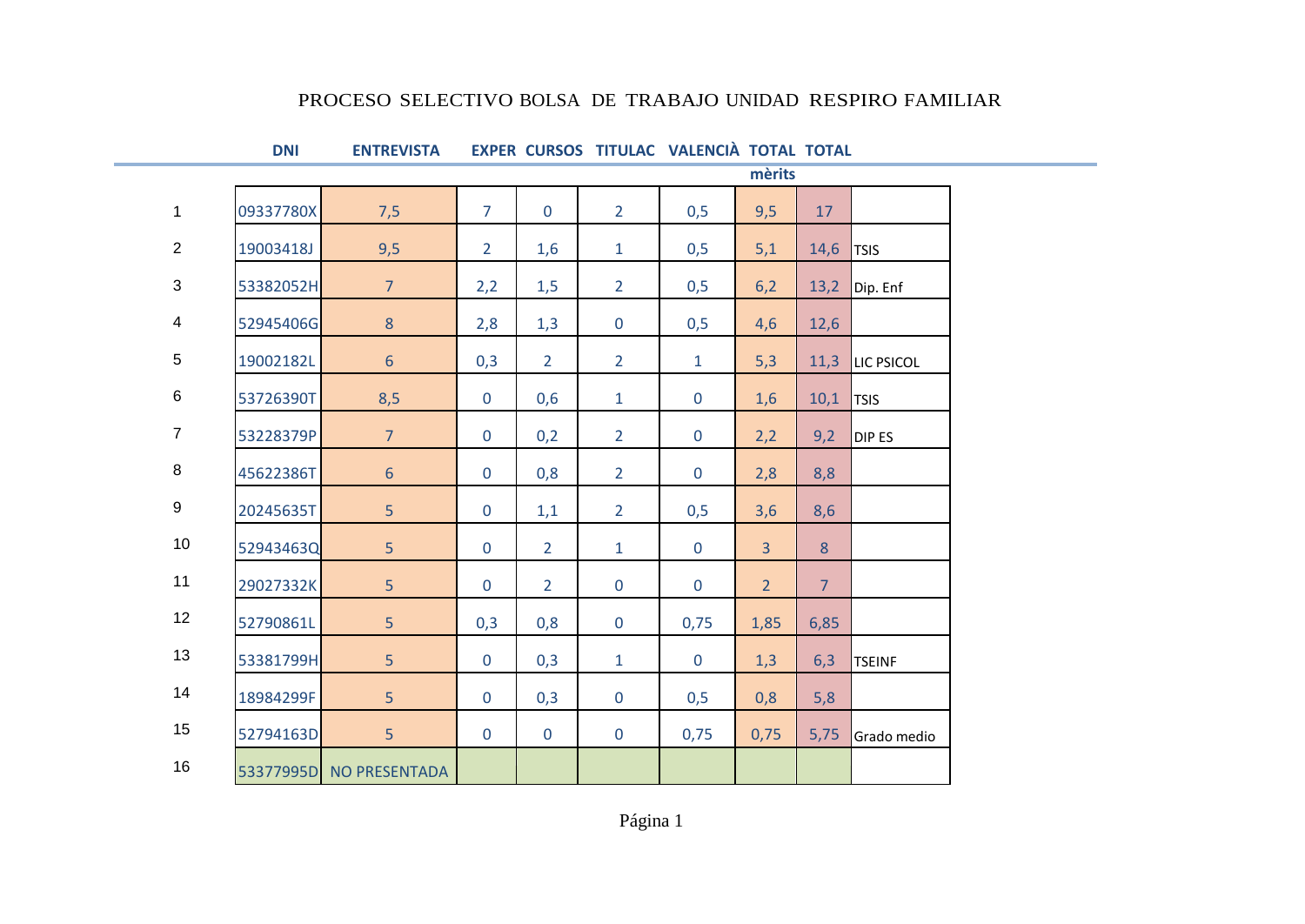## PROCESO SELECTIVO BOLSA DE TRABAJO UNIDAD RESPIRO FAMILIAR

## **DNI ENTREVISTA EXPER CURSOS TITULAC VALENCIÀ TOTAL TOTAL**

|                |           |                         |                |                | mèrits         |              |                |                |               |  |
|----------------|-----------|-------------------------|----------------|----------------|----------------|--------------|----------------|----------------|---------------|--|
| $\mathbf{1}$   | 09337780X | 7,5                     | $\overline{7}$ | $\mathbf 0$    | $2^{\circ}$    | 0,5          | 9,5            | 17             |               |  |
| 2              | 19003418J | 9,5                     | $\overline{2}$ | 1,6            | $\mathbf{1}$   | 0,5          | 5,1            | 14,6           | <b>TSIS</b>   |  |
| 3              | 53382052H | $\overline{7}$          | 2,2            | 1,5            | $\overline{2}$ | 0,5          | 6,2            | 13,2           | Dip. Enf      |  |
| $\overline{4}$ | 52945406G | $8\phantom{1}$          | 2,8            | 1,3            | $\mathbf 0$    | 0,5          | 4,6            | 12,6           |               |  |
| 5              | 19002182L | $\sqrt{6}$              | 0,3            | $\overline{2}$ | $\overline{2}$ | $\mathbf{1}$ | 5,3            | 11,3           | LIC PSICOL    |  |
| $\,6\,$        | 53726390T | 8,5                     | $\mathbf{0}$   | 0,6            | $\mathbf{1}$   | $\mathbf 0$  | 1,6            | 10,1           | <b>TSIS</b>   |  |
| $\overline{7}$ | 53228379P | $\overline{7}$          | $\mathbf 0$    | 0,2            | $\overline{2}$ | $\mathbf 0$  | 2,2            | 9,2            | DIP ES        |  |
| 8              | 45622386T | $6\phantom{1}$          | $\mathbf 0$    | 0,8            | $\overline{2}$ | $\mathbf 0$  | 2,8            | 8,8            |               |  |
| $9\,$          | 20245635T | 5                       | $\mathbf 0$    | 1,1            | $\overline{2}$ | 0,5          | 3,6            | 8,6            |               |  |
| 10             | 52943463Q | 5                       | $\mathbf 0$    | $\overline{2}$ | $\mathbf{1}$   | $\mathbf 0$  | $\overline{3}$ | 8              |               |  |
| 11             | 29027332K | 5 <sup>1</sup>          | $\mathbf 0$    | $\overline{2}$ | $\mathbf 0$    | $\mathbf{0}$ | 2 <sup>1</sup> | 7 <sup>1</sup> |               |  |
| 12             | 52790861L | 5                       | 0,3            | 0,8            | $\mathbf 0$    | 0,75         | 1,85           | 6,85           |               |  |
| 13             | 53381799H | 5                       | $\mathbf 0$    | 0,3            | $\mathbf{1}$   | $\mathbf 0$  | 1,3            | 6,3            | <b>TSEINF</b> |  |
| 14             | 18984299F | 5                       | $\mathbf 0$    | 0,3            | $\mathbf 0$    | 0,5          | 0,8            | 5,8            |               |  |
| 15             | 52794163D | 5 <sup>1</sup>          | $\mathbf 0$    | $\mathbf 0$    | $\mathbf 0$    | 0,75         | 0,75           | 5,75           | Grado medio   |  |
| 16             |           | 53377995D NO PRESENTADA |                |                |                |              |                |                |               |  |

Página 1